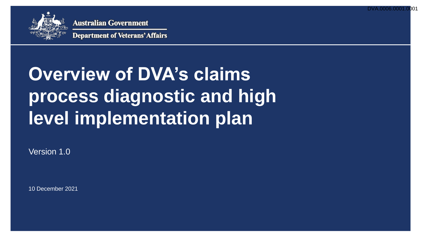DVA.0006.000



**Australian Government** 

**Department of Veterans' Affairs** 

# **Overview of DVA's claims process diagnostic and high level implementation plan**

Version 1.0

10 December 2021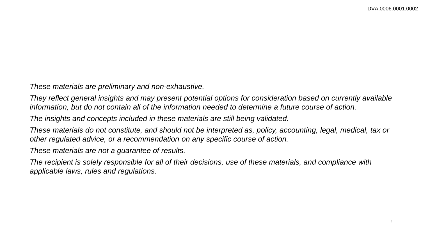*These materials are preliminary and non-exhaustive.* 

*They reflect general insights and may present potential options for consideration based on currently available information, but do not contain all of the information needed to determine a future course of action.* 

*The insights and concepts included in these materials are still being validated.* 

*These materials do not constitute, and should not be interpreted as, policy, accounting, legal, medical, tax or other regulated advice, or a recommendation on any specific course of action.* 

*These materials are not a guarantee of results.* 

*The recipient is solely responsible for all of their decisions, use of these materials, and compliance with applicable laws, rules and regulations.*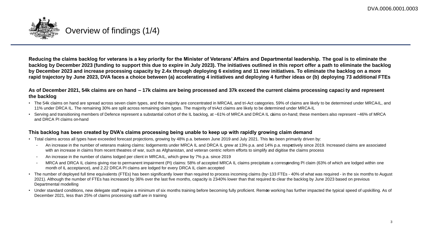

**Reducing the claims backlog for veterans is a key priority for the Minister of Veterans' Affairs and Departmental leadership. The goal is to eliminate the backlog by December 2023 (funding to support this due to expire in July 2023). The initiatives outlined in this report offer a path to eliminate the backlog by December 2023 and increase processing capacity by 2.4x through deploying 6 existing and 11 new initiatives. To eliminate the backlog on a more rapid trajectory by June 2023, DVA faces a choice between (a) accelerating 4 initiatives and deploying 4 further ideas or (b) deploying 73 additional FTEs**

### **As of December 2021, 54k claims are on hand – 17k claims are being processed and 37k exceed the current claims processing capaci ty and represent the backlog**

- The 54k claims on hand are spread across seven claim types, and the majority are concentrated in MRCAIL and tri-Act categories. 59% of claims are likely to be determined under MRCAIL, and 11% under DRCA IL. The remaining 30% are split across remaining claim types. The majority of tri-Act claims are likely to be determined under MRCA-IL
- Serving and transitioning members of Defence represent a substantial cohort of the IL backlog, at ~61% of MRCA and DRCA IL caims on-hand; these members also represent ~46% of MRCA and DRCA PI claims on-hand

## **This backlog has been created by DVA's claims processing being unable to keep up with rapidly growing claim demand**

- Total claims across all types have exceeded forecast projections, growing by 48% p.a. between June 2019 and July 2021. This has been primarily driven by:
	- An increase in the number of veterans making claims: lodgements under MRCA IL and DRCA IL grew at 13% p.a. and 14% p.a. respectively since 2019. Increased claims are associated with an increase in claims from recent theatres of war, such as Afghanistan, and veteran centric reform efforts to simplify and digitise the claims process
	- An increase in the number of claims lodged per client in MRCA-IL, which grew by 7% p.a. since 2019
	- MRCA and DRCA IL claims giving rise to permanent impairment (PI) claims: 58% of accepted MRCA IL claims precipitate a corresponding PI claim (63% of which are lodged within one month of IL acceptance), and 2.22 DRCA PI claims are lodged for every DRCA IL claim accepted
- The number of deployed full time equivalents (FTEs) has been significantly lower than required to process incoming claims (by~133 FTEs 40% of what was required in the six months to August 2021). Although the number of FTEs has increased by 36% over the last five months, capacity is 23-40% lower than that required to clear the backlog by June 2023 based on previous Departmental modelling
- Under standard conditions, new delegate staff require a minimum of six months training before becoming fully proficient. Remote working has further impacted the typical speed of upskilling. As of December 2021, less than 25% of claims processing staff are in training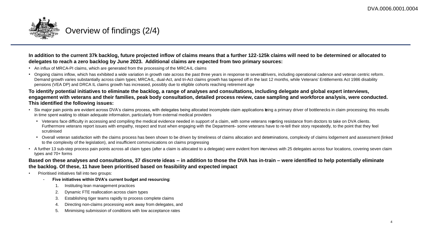

**In addition to the current 37k backlog, future projected inflow of claims means that a further 122-125k claims will need to be determined or allocated to delegates to reach a zero backlog by June 2023. Additional claims are expected from two primary sources:**

- An influx of MRCA-PI claims, which are generated from the processing of the MRCAIL claims
- Ongoing claims inflow, which has exhibited a wide variation in growth rate across the past three years in response to severadrivers, including operational cadence and veteran centric reform. Demand growth varies substantially across claim types; MRCAIL, dual-Act, and tri-Act claims growth has tapered off in the last 12 months, while Veterans' Entitlements Act 1986 disability pensions (VEA DP) and DRCA IL claims growth has increased, possibly due to eligible cohorts reaching retirement age

### **To identify potential initiatives to eliminate the backlog, a range of analyses and consultations, including delegate and global expert interviews, engagement with veterans and their families, peak body consultation, detailed process review, case sampling and workforce analysis, were conducted. This identified the following issues:**

- Six major pain points are evident across DVA's claims process, with delegates being allocated incomplete claim applications being a primary driver of bottlenecks in claim processing; this results in time spent waiting to obtain adequate information, particularly from external medical providers
	- Veterans face difficulty in accessing and compiling the medical evidence needed in support of a claim, with some veterans reporting resistance from doctors to take on DVA clients. Furthermore veterans report issues with empathy, respect and trust when engaging with the Department-some veterans have to re-tell their story repeatedly, to the point that they feel scrutinised
	- Overall veteran satisfaction with the claims process has been shown to be driven by timeliness of claims allocation and determinations, complexity of claims lodgement and assessment (linked to the complexity of the legislation), and insufficient communications on claims progressing
- A further 13 sub-step process pain points across all claim types (after a claim is allocated to a delegate) were evident from interviews with 25 delegates across four locations, covering seven claim types and 70+ forms

## **Based on these analyses and consultations, 37 discrete ideas – in addition to those the DVA has in-train – were identified to help potentially eliminate the backlog. Of these, 11 have been prioritised based on feasibility and expected impact**

- Prioritised initiatives fall into two groups:
	- **Five initiatives within DVA's current budget and resourcing**:
		- 1. Instituting lean management practices
		- 2. Dynamic FTE reallocation across claim types
		- 3. Establishing tiger teams rapidly to process complete claims
		- 4. Directing non-claims processing work away from delegates, and
		- 5. Minimising submission of conditions with low acceptance rates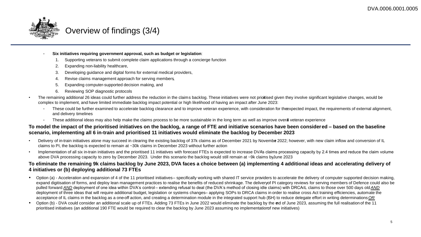

# Overview of findings (3/4)

- **Six initiatives requiring government approval, such as budget or legislation**:
	- 1. Supporting veterans to submit complete claim applications through a concierge function
	- 2. Expanding non-liability healthcare,
	- 3. Developing guidance and digital forms for external medical providers,
	- 4. Revise claims management approach for serving members,
	- 5. Expanding computer-supported decision making, and
	- 6. Reviewing SOP diagnostic protocols
- The remaining additional 26 ideas could further address the reduction in the claims backlog. These initiatives were not priortised given they involve significant legislative changes, would be complex to implement, and have limited immediate backlog impact potential or high likelihood of having an impact after June 2023:
	- These could be further examined to accelerate backlog clearance and to improve veteran experience, with consideration for theexpected impact, the requirements of external alignment, and delivery timelines
	- These additional ideas may also help make the claims process to be more sustainable in the long term as well as improve overal veteran experience

## **To model the impact of the prioritised initiatives on the backlog, a range of FTE and initiative scenarios have been considered – based on the baseline scenario, implementing all 6 in-train and prioritised 11 initiatives would eliminate the backlog by December 2023**

- Delivery of in-train initiatives alone may succeed in clearing the existing backlog of 37k claims as of December 2021 by November 2022; however, with new claim inflow and conversion of IL claims to PI, the backlog is expected to remain at ~30k claims in December 2023 without further action
- Implementation of all six in-train initiatives and the prioritised 11 initiatives with forecast FTEs is expected to increase DVA's claims processing capacity by 2.4 times and reduce the claim volume above DVA processing capacity to zero by December 2023. Under this scenario the backlog would still remain at ~9k claims by June 2023

## **To eliminate the remaining 9k claims backlog by June 2023, DVA faces a choice between (a) implementing 4 additional ideas and accelerating delivery of 4 initiatives or (b) deploying additional 73 FTEs**

- Option (a) Acceleration and expansion of 4 of the 11 prioritised initiatives– specifically working with shared IT service providers to accelerate the delivery of computer supported decision making, expand digitisation of forms, and deploy lean management practices to realise the benefits of reduced shrinkage. The deliveryof PI category reviews for serving members of Defence could also be pulled forward *AND* deployment of one idea within DVA's control – extending refusal to deal (the DVA's method of closing idle claims) with DRCAIL claims to those over 500 days old *AND* deployment of three ideas that will require additional budget, legislation or systems changes-applying SOPs to DRCA claims in order to realise cross Act training efficiencies, automate the acceptance of IL claims in the backlog as a one-off action, and creating a determination module in the integrated support hub (SH) to reduce delegate effort in writing determinations OR
- Option (b) DVA could consider an additional scale up of FTEs. Adding 73 FTEs in June 2022 would eliminate the backlog by the end of June 2023, assuming the full realisation of the 11 prioritised initiatives (an additional 190 FTE would be required to clear the backlog by June 2023 assuming no implementationof new initiatives)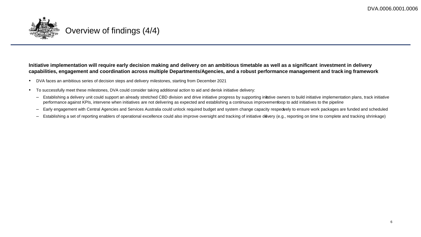

## **Initiative implementation will require early decision making and delivery on an ambitious timetable as well as a significant investment in delivery capabilities, engagement and coordination across multiple Departments/Agencies, and a robust performance management and track ing framework**

- DVA faces an ambitious series of decision steps and delivery milestones, starting from December 2021
- To successfully meet these milestones, DVA could consider taking additional action to aid and derisk initiative delivery:
	- Establishing a delivery unit could support an already stretched CBD division and drive initiative progress by supporting initative owners to build initiative implementation plans, track initiative performance against KPIs, intervene when initiatives are not delivering as expected and establishing a continuous improvementloop to add initiatives to the pipeline
	- Early engagement with Central Agencies and Services Australia could unlock required budget and system change capacity respectvely to ensure work packages are funded and scheduled
	- Establishing a set of reporting enablers of operational excellence could also improve oversight and tracking of initiative devery (e.g., reporting on time to complete and tracking shrinkage)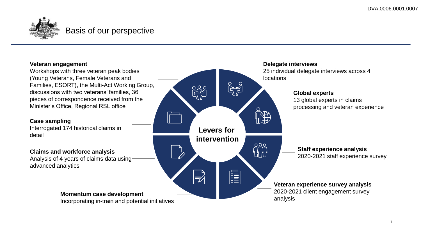

# Basis of our perspective

## **Veteran engagement**

Workshops with three veteran peak bodies (Young Veterans, Female Veterans and Families, ESORT), the Multi-Act Working Group, discussions with two veterans' families, 36 pieces of correspondence received from the Minister's Office, Regional RSL office

## **Case sampling**

Interrogated 174 historical claims in detail

## **Claims and workforce analysis**

Analysis of 4 years of claims data using advanced analytics

## **Momentum case development**

Incorporating in-train and potential initiatives

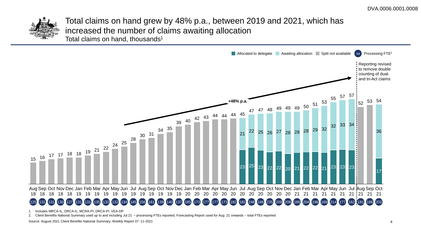

Total claims on hand grew by 48% p.a., between 2019 and 2021, which has increased the number of claims awaiting allocation Total claims on hand, thousands<sup>1</sup>



1. Includes MRCA-IL, DRCA-IL, MCRA-PI, DRCA-PI, VEA-DP

2. Client Benefits National Summary used up to and including Jul 21 – processing FTEs reported, Forecasting Report used for Aug 21 onwards – total FTEs reported

Source: August 2021 Client Benefits National Summary; Weekly Report 07 -11-2021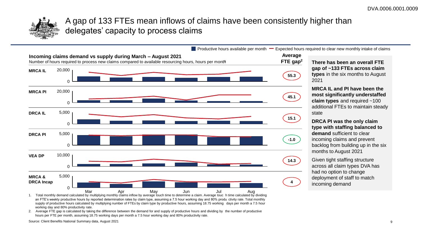

A gap of 133 FTEs mean inflows of claims have been consistently higher than delegates' capacity to process claims



**FTE gap2 There has been an overall FTE gap of ~133 FTEs across claim types** in the six months to August

> **MRCA IL and PI have been the most significantly understaffed claim types** and required ~100 additional FTEs to maintain steady state

**DRCA PI was the only claim type with staffing balanced to demand** sufficient to clear incoming claims and prevent backlog from building up in the six months to August 2021

Given tight staffing structure across all claim types DVA has had no option to change deployment of staff to match incoming demand

an FTE's weekly productive hours by reported determination rates by claim type, assuming a 7.5 hour working day and 80% produ ctivity rate. Total monthly supply of productive hours calculated by multiplying number of FTEs by claim type by productive hours, assuming 18.75 working days per month a 7.5 hour working day and 80% productivity rate.

2. Average FTE gap is calculated by taking the difference between the demand for and supply of productive hours and dividing by the number of productive hours per FTE per month, assuming 18.75 working days per month a 7.5 hour working day and 80% productivity rate.

Source: Client Benefits National Summary data, August 2021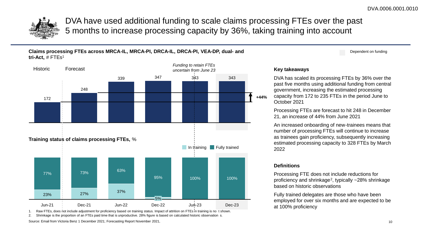

DVA have used additional funding to scale claims processing FTEs over the past 5 months to increase processing capacity by 36%, taking training into account

**Claims processing FTEs across MRCA-IL, MRCA-PI, DRCA-IL, DRCA-PI, VEA-DP, dual- and tri-Act,** # FTEs1



Raw FTEs, does not include adjustment for proficiency based on training status. Impact of attrition on FTEs in training is no t shown.

2. Shrinkage is the proportion of an FTEs paid time that is unproductive. 28% figure is based on calculated historic observation s.

Source: Email from Victoria Benz 1 December 2021; Forecasting Report November 2021,

### Dependent on funding

## **Key takeaways**

DVA has scaled its processing FTEs by 36% over the past five months using additional funding from central government, increasing the estimated processing capacity from 172 to 235 FTEs in the period June to October 2021

Processing FTEs are forecast to hit 248 in December 21, an increase of 44% from June 2021

An increased onboarding of new-trainees means that number of processing FTEs will continue to increase as trainees gain proficiency, subsequently increasing estimated processing capacity to 328 FTEs by March 2022

### **Definitions**

Processing FTE does not include reductions for proficiency and shrinkage<sup>2</sup>, typically  $\sim$  28% shrinkage based on historic observations

Fully trained delegates are those who have been employed for over six months and are expected to be at 100% proficiency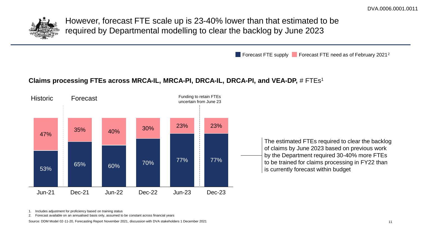

However, forecast FTE scale up is 23-40% lower than that estimated to be required by Departmental modelling to clear the backlog by June 2023

**Forecast FTE supply Forecast FTE need as of February 2021**<sup>2</sup>

## **Claims processing FTEs across MRCA-IL, MRCA-PI, DRCA-IL, DRCA-PI, and VEA-DP,** # FTEs1



1. Includes adjustment for proficiency based on training status

2. Forecast available on an annualised basis only, assumed to be constant across financial years

Source: DDM Model 02-11-20, Forecasting Report November 2021, discussion with DVA stakeholders 1 December 2021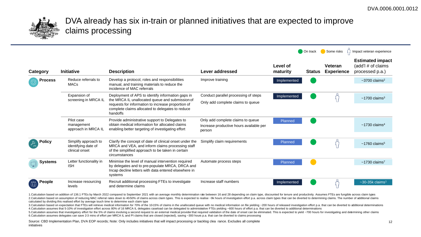

# DVA already has six in-train or planned initiatives that are expected to improve claims processing

|                |                                                               |                                                                                                                                                                                                                            |                                                                                        |                      | $\Box$ On track | Some risks                          | Impact veteran experience                                        |
|----------------|---------------------------------------------------------------|----------------------------------------------------------------------------------------------------------------------------------------------------------------------------------------------------------------------------|----------------------------------------------------------------------------------------|----------------------|-----------------|-------------------------------------|------------------------------------------------------------------|
| Category       | <b>Initiative</b>                                             | <b>Description</b>                                                                                                                                                                                                         | Lever addressed                                                                        | Level of<br>maturity | <b>Status</b>   | <b>Veteran</b><br><b>Experience</b> | <b>Estimated impact</b><br>(add'l # of claims<br>processed p.a.) |
| <b>Process</b> | Reduce referrals to<br><b>MACs</b>                            | Develop a protocol, roles and responsibilities<br>manual, and training materials to reduce the<br>incidence of MAC referrals                                                                                               | Improve training                                                                       | Implemented          |                 |                                     | $~5$ 700 claims <sup>2</sup>                                     |
|                | Expansion of<br>screening in MRCA IL                          | Deployment of APS to identify information gaps in<br>the MRCA IL unallocated queue and submission of<br>requests for information to increase proportion of<br>complete claims allocated to delegates to reduce<br>handoffs | Conduct parallel processing of steps<br>Only add complete claims to queue              | Implemented          |                 |                                     | $~1700$ claims <sup>3</sup>                                      |
|                | Pilot case<br>management<br>approach in MRCA IL               | Provide administrative support to Delegates to<br>obtain medical information for allocated claims<br>enabling better targeting of investigating effort                                                                     | Only add complete claims to queue<br>Increase productive hours available per<br>person | Planned              |                 |                                     | $~1730$ claims <sup>4</sup>                                      |
| Policy         | Simplify approach to<br>identifying date of<br>clinical onset | Clarify the concept of date of clinical onset under the<br>MRCA and VEA, and inform claims processing staff<br>of the simplified approach to be taken in certain<br>circumstances                                          | Simplify claim requirements                                                            | Planned              |                 |                                     | $~1760$ claims <sup>5</sup>                                      |
| <b>Systems</b> | Letter functionality in<br><b>ISH</b>                         | Minimise the level of manual intervention required<br>by delegates and to pre-populate MRCA, DRCA and<br>Incap decline letters with data entered elsewhere in<br>systems                                                   | Automate process steps                                                                 | Planned              |                 |                                     | $~1730$ claims <sup>7</sup>                                      |
| People         | Increase resourcing<br>levels                                 | Recruit additional processing FTEs to investigate<br>and determine claims                                                                                                                                                  | Increase staff numbers                                                                 | Implemented          |                 |                                     | $\sim$ 30-35 $k$ claims <sup>1</sup>                             |

1.Calculation based on addition of 136.1 FTEs by March 2022 compared to September 2021 with an average monthly determination rate between 16 and 28 depending on claim type, discounted for tenure and productivity. Assumes F 2. Calculation based on assumption of reducing MAC referral rates down to 40-50% of claims across claim types. This is expected to realise ~9k hours of investigation effort p.a. across claim types that can be diverted to d calculated by dividing this realised effort by average touch time to determine each claim type

3. Calculation based on expectation that FTEs will retrieve medical information for 70% of the 10-15% of claims in the unallocated queue with no medical information on file yielding ~200 hours of released investigation eff 4.Calculation assumes that 5-10% of investigation effort across 80% of 16 MRCA IL delegates caseload can be delegated to administrative FTEs yielding ~600 hours of effort p.a. that can be diverted to additional determinati

5. Calculation assumes that investigatory effort for the 5% of claims involving a second request to an external medical provider that required validation of the date of onset can be eliminated. This is expected to yield ~7 6.Calculation assumes delegates can save 2-3 mins of effort per MRCA IL and PI claims that are closed (rejected), saving ~300 hours p.a. that can be diverted to claims processing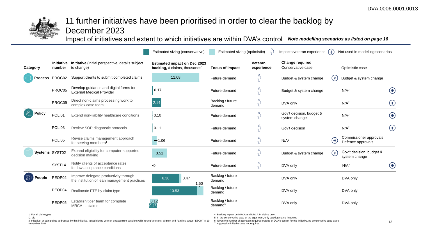

# 11 further initiatives have been prioritised in order to clear the backlog by

December 2023

Impact of initiatives and extent to which initiatives are within DVA's control *Note modelling scenarios as listed on page 16*

|                |                    |                                                                                       | Estimated sizing (conservative)                                                         | Estimated sizing (optimistic)           |                       | Impacts veteran experience $(*)$            |          | Not used in modelling scenarios              |            |
|----------------|--------------------|---------------------------------------------------------------------------------------|-----------------------------------------------------------------------------------------|-----------------------------------------|-----------------------|---------------------------------------------|----------|----------------------------------------------|------------|
| Category       | number             | Initiative Initiative (initial perspective, details subject<br>to change)             | <b>Estimated impact on Dec 2023</b><br><b>backlog,</b> # claims, thousands <sup>1</sup> | <b>Focus of impact</b>                  | Veteran<br>experience | <b>Change required</b><br>Conservative case |          | Optimistic case                              |            |
|                | Process PROC02     | Support clients to submit completed claims                                            | 11.08                                                                                   | Future demand                           |                       | Budget & system change                      | $(\ast)$ | Budget & system change                       |            |
|                | PROC05             | Develop guidance and digital forms for<br><b>External Medical Provider</b>            | $-0.17$                                                                                 | Future demand                           |                       | Budget & system change                      |          | N/A <sup>7</sup>                             | $(*)$      |
|                | PROC09             | Direct non-claims processing work to<br>complex case team                             | 2.14                                                                                    | Backlog / future<br>demand              | ٩f                    | DVA only                                    |          | N/A <sup>7</sup>                             | $\bigcirc$ |
| Policy         | POLI01             | Extend non-liability healthcare conditions                                            | F0.10                                                                                   | Future demand                           |                       | Gov't decision, budget &<br>system change   |          | N/A <sup>7</sup>                             | $\bigcirc$ |
|                | POLI03             | Review SOP diagnostic protocols                                                       | $F$ 0.11                                                                                | Future demand                           |                       | Gov't decision                              |          | N/A <sup>7</sup>                             | $\bigcirc$ |
|                | POLI05             | Revise claims management approach<br>for serving members <sup>4</sup>                 | $-1.06$                                                                                 | Future demand                           |                       | N/A <sup>6</sup>                            | $(\ast)$ | Commissioner approvals,<br>Defence approvals |            |
| Systems SYST02 |                    | Expand eligibility for computer-supported<br>decision making                          | 3.51                                                                                    | Future demand                           | $\{ \}$               | Budget & system change                      | $(\ast)$ | Gov't decision, budget &<br>system change    |            |
|                | SYST <sub>14</sub> | Notify clients of acceptance rates<br>for low acceptance conditions                   |                                                                                         | Future demand                           |                       | DVA only                                    |          | N/A <sup>7</sup>                             | $(*)$      |
| People         | PEOP02             | Improve delegate productivity through<br>the institution of lean management practices | $-0.47$<br>6.38<br>1.50                                                                 | Backlog / future<br>demand              |                       | DVA only                                    |          | DVA only                                     |            |
|                | PEOP04             | Reallocate FTE by claim type                                                          | 10.53                                                                                   | Backlog / future<br>demand              |                       | DVA only                                    |          | DVA only                                     |            |
|                | PEOP05             | Establish tiger team for complete<br><b>MRCA IL claims</b>                            | 0.12<br>0.43                                                                            | Backlog / future<br>demand <sup>5</sup> |                       | DVA only                                    |          | DVA only                                     |            |

1. For all claim types

4. Backlog impact on MRCA and DRCA PI claims only 5. In the conservative case of the tiger team, only backlog claims impacted

I2. bid 3. Initiative, or pain points addressed by this initiative, raised during veteran engagement sessions with Young Veterans, Women and Families, and/or ESORT 8-10 November 2021

6. Given the number of approvals required outside of DVA's control for this initiative, no conservative case exists

7. Aggressive initiative case not required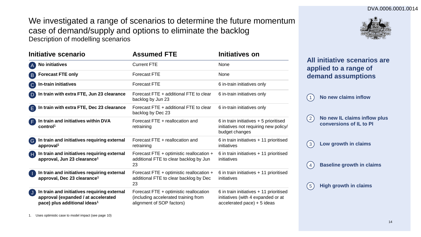### DVA.0006.0001.0014

We investigated a range of scenarios to determine the future momentum case of demand/supply and options to eliminate the backlog Description of modelling scenarios



| <b>Initiative scenario</b>                                                                                                                     | <b>Assumed FTE</b>                                                                                          | Initiatives on                                                                                               |
|------------------------------------------------------------------------------------------------------------------------------------------------|-------------------------------------------------------------------------------------------------------------|--------------------------------------------------------------------------------------------------------------|
| <b>No initiatives</b>                                                                                                                          | <b>Current FTE</b>                                                                                          | None                                                                                                         |
| <b>Forecast FTE only</b><br>B.                                                                                                                 | <b>Forecast FTE</b>                                                                                         | None                                                                                                         |
| In-train initiatives<br>$\overline{C}$                                                                                                         | <b>Forecast FTE</b>                                                                                         | 6 in-train initiatives only                                                                                  |
| In train with extra FTE, Jun 23 clearance<br><b>D</b>                                                                                          | Forecast FTE + additional FTE to clear<br>backlog by Jun 23                                                 | 6 in-train initiatives only                                                                                  |
| In train with extra FTE, Dec 23 clearance<br>E.                                                                                                | Forecast FTE + additional FTE to clear<br>backlog by Dec 23                                                 | 6 in-train initiatives only                                                                                  |
| In train and initiatives within DVA<br>control <sup>1</sup>                                                                                    | Forecast FTE + reallocation and<br>retraining                                                               | 6 in train initiatives + 5 prioritised<br>initiatives not requiring new policy/<br>budget changes            |
| In train and initiatives requiring external<br>$\left( \begin{matrix} \mathbf{G} \end{matrix} \right)$<br>approval <sup>1</sup>                | Forecast FTE + reallocation and<br>retraining                                                               | 6 in train initiatives + 11 prioritised<br>initiatives                                                       |
| In train and initiatives requiring external<br>Œ<br>approval, Jun 23 clearance <sup>1</sup>                                                    | Forecast FTE + optimistic reallocation +<br>additional FTE to clear backlog by Jun<br>23                    | 6 in train initiatives + 11 prioritised<br>initiatives                                                       |
| In train and initiatives requiring external<br>approval, Dec 23 clearance <sup>1</sup>                                                         | Forecast FTE + optimistic reallocation +<br>additional FTE to clear backlog by Dec<br>23                    | 6 in train initiatives + 11 prioritised<br>initiatives                                                       |
| In train and initiatives requiring external<br>$\mathsf{J}$<br>approval (expanded / at accelerated<br>pace) plus additional ideas <sup>1</sup> | Forecast FTE + optimistic reallocation<br>(including accelerated training from<br>alignment of SOP factors) | 6 in train initiatives + 11 prioritised<br>initiatives (with 4 expanded or at<br>accelerated pace) + 5 ideas |

**All initiative scenarios are applied to a range of demand assumptions**

1 **No new claims inflow**

**No new IL claims inflow plus conversions of IL to PI**  $(2)$ 

3 **Low growth in claims**

4 **Baseline growth in claims**

5 **High growth in claims**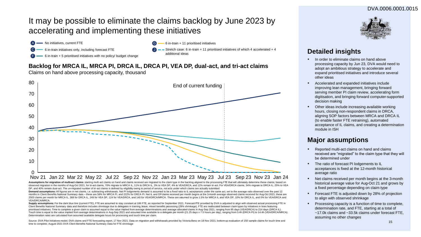## It may be possible to eliminate the claims backlog by June 2023 by accelerating and implementing these initiatives

- No initiatives, current FTE
- 6 in-train initiatives only, including forecast FTE
- $-6$  in-train  $+5$  prioritised initiatives with no policy/ budget change
- Stretch case: 6 in-train  $+11$  prioritised initiatives of which 4 accelerated  $+4$ additional ideas

 $6$  in-train + 11 prioritised initiatives

## **Backlog for MRCA IL, MRCA PI, DRCA IL, DRCA PI, VEA DP, dual-act, and tri-act claims**

Claims on hand above processing capacity, thousand



#### Assumptions for migration of multi-act claims: starting multi-act claims on hand and claims received are migrated to the claim type in the backlog aligned to the processing FTE that will ultimately determine these claims; observed migration in the months of Aug-Oct 2021, for tri-act claims, 70% migrate to MRCA IL, 11% to DRCA IL, 3% to VEA DP, 4% to VEA/DRCA, and 12% remain tri-act. For VEA/DRCA claims, 34% migrate to DRCA IL, 25% to VEA

DP, and 40% remain dual-act. The un-migrated number of tri-act claims is defined by eligibility owing to period of service, not acts under which claims are actually submitted

Demand assumptions: All figures are in net claims, i.e. subtracting withdrawals. Net PI lodgements demand is assumed to be a fixed ratio to IL acceptances under the same act, set to the average ratio observed over the past months in Client Benefits National Summary data – these are 58% for MRCA PI, and 222% for DRCA PI. Net IL and DPclaims received per month begins at the 3-month average observed claims received for Aug-Oct 2021; these are 2503 claims per month for MRCA IL, 368 for DRCA IL, 249 for VEA DP, 124 for VEA/DRCA, and 140 for VEA/DRCA/MRCA. These are assumed to grow 1.5% for MRCA IL and VEA DP, 10% for DRCA IL, and 0% for VEA/DRCA and VEA/DRCA/MRCA.

Supply assumptions: For the dark blue line (current FTE), FTE are assumed to stay constant at 186 FTE, as reported for September 2021. Forecast FTE provided by DVA is adjusted to align with observed actual processing FTE i Client Benefits National Summary data and therefore includes shrinkage due to delegates in training, leave, mixed benefits processing (28% shrinkage). FTE are reallocated between claim types by initiatives in lines featuri prioritised initiatives. Time to complete a given claim is assumed equal to the value implied from average determinations and average allocated claims in Aug-Sep 2021, ranging from 95 days (VEA/DRCA) to 214 days (DRCA IL). Touch time is equal to the value implied from average determinations in Aug-Sep 2021 and assumed time available to a delegate per month (21.25 days x 7.5 hours per day), ranging from 3.4h (DRCA PI) to 14.4h (VEA/DRCA/MRCA) Determination rates are calculated from assumed available delegate hours for processing and touch time per claim.

Source: DVA Pilot Initiatives model; DVA claims and FTE forecasting report, 17 Nov 2021; Data on migration and withdrawals provided by Victoria Benz on 18 Nov 2021; bottom-up evaluation of 150 sample claims for touch time time to complete; August 2021 DVA Client Benefits National Summary Data for FTE shrinkage



## **Detailed insights**

- In order to eliminate claims on hand above processing capacity by Jun 23, DVA would need to adopt an ambitious strategy to accelerate and expand prioritised initiatives and introduce several other ideas
- Accelerated and expanded initiatives include improving lean management, bringing forward serving member PI claim review, accelerating form digitisation, and bringing forward computer-supported decision making
- Other ideas include increasing available working hours, closing non-respondent claims in DRCA, aligning SOP factors between MRCA and DRCA IL (to enable faster FTE retraining), automated acceptance of IL claims, and creating a determination module in ISH

## **Major assumptions**

- Reported multi-act claims on hand and claims received are "migrated" to the claim type that they will be determined under
- The ratio of forecast PI lodgements to IL acceptances is fixed at the 12-month historical average ratio
- Net claims received per month begins at the 3-month historical average value for Aug-Oct 21 and grows by a fixed percentage depending on claim type
- Forecast FTE is adjusted down by 28% of projection to align with observed shrinkage
- Processing capacity is a function of time to complete, determination rate, and FTE, starting at a total of ~17.0k claims and ~33.5k claims under forecast FTE, assuming no other changes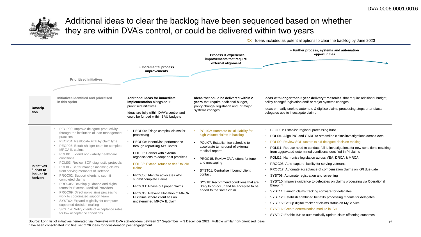

# Additional ideas to clear the backlog have been sequenced based on whether they are within DVA's control, or could be delivered within two years

XX Ideas included as potential options to clear the backlog by June 2023



Source: Long list of initiatives generated via interviews with DVA stakeholders between 27 September – 3 December 2021. Multiple similar non-prioritised ideas have been consolidated into final set of 26 ideas for consideration post engagement.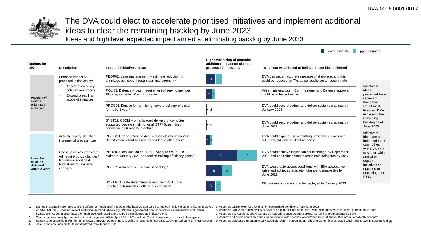Lower estimate Upper estimate



# The DVA could elect to accelerate prioritised initiatives and implement additional ideas to clear the remaining backlog by June 2023

Ideas and high level expected impact aimed at eliminating backlog by June 2023

| <b>Options for</b><br><b>DVA</b>                             | <b>Description</b>                                                                      | Included initiatives/ideas                                                                                                                 | High level sizing of potential<br>additional impact on claims<br>processed, thousands <sup>1</sup> | What you would need to believe to see idea delivered                                                                                |                                                                |  |
|--------------------------------------------------------------|-----------------------------------------------------------------------------------------|--------------------------------------------------------------------------------------------------------------------------------------------|----------------------------------------------------------------------------------------------------|-------------------------------------------------------------------------------------------------------------------------------------|----------------------------------------------------------------|--|
| Accelerate/<br>expand<br>prioritised<br>initiatives          | Enhance impact of<br>proposed initiatives by:                                           | PEOP02: Lean management - estimate reduction in<br>shrinkage achieved through lean management <sup>2</sup>                                 | 3                                                                                                  | DVA can get an accurate measure of shrinkage, and this<br>could be reduced by 7%, as per public sector benchmarks                   |                                                                |  |
|                                                              | Acceleration of key<br>delivery milestones<br>Expand breadth or<br>scope of initiatives | POLI05: Defence - begin requirement of serving member<br>PI category review 6 months earlier <sup>3</sup>                                  | $\overline{2}$                                                                                     | With ministerial push, Commissioner and Defence approval<br>could be achieved earlier                                               | Initiatives/<br>ideas<br>presented here<br>represent           |  |
|                                                              |                                                                                         | PROC05: Digitise forms - bring forward delivery of digital<br>forms by 1 year <sup>4</sup>                                                 | -<1                                                                                                | DVA could secure budget and deliver systems changes by<br>January 2023                                                              | those that<br>would most<br>likely aid DVA<br>in clearing the  |  |
|                                                              |                                                                                         | SYST02: CSDM - bring forward delivery of computer<br>supported decision making for all STP/ Streamlined<br>conditions by 6 months months 5 | -<1                                                                                                | DVA could secure budget and deliver systems changes by<br><b>June 2022</b>                                                          | remaining<br>backlog as of<br>June 2023                        |  |
| <b>Ideas that</b><br>could be<br>delivered<br>within 2 years | Actively deploy identified<br>incremental process fixes                                 | POLI08: Extend refuse to deal – close claims on hand in<br>DRCA where client has not responded to offer letter <sup>6</sup>                |                                                                                                    | DVA could expand use of existing powers to claims over<br>500 days old with no client response                                      | Initiatives/<br>ideas are all<br>independent of<br>each other, |  |
|                                                              | Chose to deploy ideas that<br>will require policy changes/<br>legislation, additional   | PEOP04: Reallocation of FTEs - Apply SOPs to DRCA<br>claims in January 2023 and realise training efficiency gains 7                        | 10                                                                                                 | DVA could achieve legislation could change by September<br>2022 and can reduce time to cross train delegates by 50%                 | with DVA able<br>to select which<br>and when to<br>deploy      |  |
|                                                              | budget and/or systems<br>changes                                                        | POLI02: Auto accept IL claims in backlog 8                                                                                                 |                                                                                                    | DVA would auto accept conditions with 85% acceptance<br>rates and achieves legislation change to enable this by<br><b>June 2022</b> | initiatives as<br>opposed to<br>deploying more<br><b>FTEs</b>  |  |
|                                                              |                                                                                         | SYST16: Create determination module in ISH - pre-<br>populate determination letters for delegates 9                                        | $\overline{2}$<br>3                                                                                | ISH system upgrade could be deployed by January 2023                                                                                |                                                                |  |

1. Sizings presented here represent the difference (additional) impact on the backlog compared to the optimistic cases for existing initiatives 5. Assumes CBDM extended to all STP/ Streamlined conditions from June 2022 for MRCA-IL only. Does not reflect additional demand inflows e.g., PI claims generated from accelerated determination of IL claims. Sizings are not cumulative, based on high level estimated and should be considered as indicative only. 6. Assumes DRCA PI claims over 500 days are eligible for refuse to deal, while delegates waits for client to respond to offer 7. Assumes standardising SOPs across all Acts will reduce delegate cross-Act training requirements by 50%

2. Calculation assumes 7p.p reduction in shrinkage from 0% in April 22 to 100% in April 23 with linear ramp up for all claim types

4. Calculation assumes digital forms deployed from January 2023

8. Assumes all single condition claims for conditions with historical acceptance rates of above 85% are automatically accepted

3. Same sizing as previous with bringing forward milestones by 6 months with 0% ramp up in Jan 23 to 100% in April 23 with linear ramp up 9. Assumes delegate can automatically populate Determination letter, reducing Determ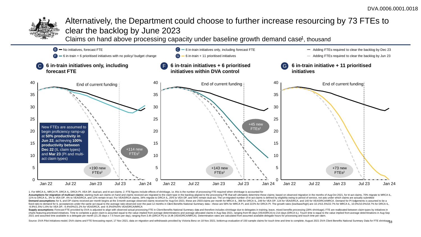

# Alternatively, the Department could choose to further increase resourcing by 73 FTEs to clear the backlog by June 2023

Claims on hand above processing capacity under baseline growth demand case<sup>1</sup>, thousand



1. For MRCA IL, MRCA PI, DRCA IL, DRCA PI, VEA DP, dual-act, and tri-act claims; 2. FTE figures include effects of shrinkage, i.e. this is the number of processing FTE required when shrinkage is accounted for

Assumptions for migration of multi-act claims: starting multi-act claims on hand and claims no hand and claims received are migrated to the claim type in the backlog aligned to the processing FTE that will ultimately deter 11% to DRCA IL, 3% to VEA DP, 4% to VEA/DRCA, and 12% remain tri-act. For VEA/DRCA claims, 34% migrate to DRCA IL, 25% to VEA DP, and 40% remain dual-act. The un-migrated number of tri-act claims is defined by eligibility Demand assumptions: for IL and DP claims received per month begins at the 3-month average observed claims received of Aug-Oct 2021: these are 2503 claims per month for MRCA IL. 368 for DRCA IL. 249 for VEA DP. 124 for VEA/ fixed ratio to demand for IL acceptances under the same act equal to the average ratio observed over the past 12 months in Clent Benefits National Summary data - these are 58% for MRCA PI, and 222% for DRCA PI. The growth -8.9%/1.5%/-1.6% for VEA DP, -4.4%/0%/21.2% for VEA/DRCA, and -9.3%/0%/0% VEA/DRCA/MRCA

Supply assumptions: Forecast FTE provided by DVA is adjusted to align with observed actual processing FTE in Client Benefits National Summary data and therefore includes shrinkage due to delegates in training, leave, mixed charts featuring prioritised initiatives. Time to complete a given claim is assumed equal to the value implied from average determinations and average allocated claims in Aug-Sep 2021, ranging from 95 days (VEA/DRCA) to 21 2021 and assumed time available to a delegate per month (21.25 days x 7.5 hours per day), ranging from 3.4h (DRCA PI) to 14.4h (VEA/DRCA/MRCA). Determination rates are calculated from assumed available delegate hours for p

Source: DVA Pilot Initiatives model; DVA claims and FTE forecasting report, 17 Nov 2021; data on migration and withdrawals provided by Victoria Benz on 18 Nov 2021; bottomup evaluation of 150 sample claims for touch time a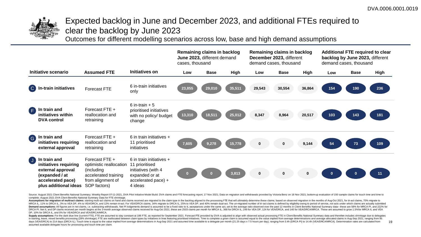

# Expected backlog in June and December 2023, and additional FTEs required to clear the backlog by June 2023

Outcomes for different modelling scenarios across low, base and high demand assumptions



Source: August 2021 Client Benefits National Summary; Weekly Report 07-11-2021, DVA Pilot Initiative Model Build. DVA claims and FTE forecasting report, 17 Nov 2021; Data on migration and withdrawals provided by Victoria B complete; August 2021 DVA Client Benefits National Summary Data for FTE shrinkage.

Assumptions for migration of multi-act claims: starting multi-act claims on hand and claims received are migrated to the claim type in the backlog aligned to the processing FTE that will ultimately determine these claims; MRCA IL, 11% to DRCA IL, 3% to VEA DP, 4% to VEA/DRCA, and 12% remain tri-act. For VEA/DRCA claims, 34% migrate to DRCA IL, 25% to VEA DP, and 40% remain dual-act. The un-migrated number of tri-act claims is defined by eli Demand assumptions: All figures are in net claims, i.e. subtracting withdrawals. Net PI lodgements demand is assumed to be a fixed ratio to IL acceptances under the same act, set to the average ratio observed over the past DRCA PI. Net IL and DP claims received per month begins at the 3-month average observed claims received for Aug-Oct 2021; these are 2503 claims per month for MRCA IL, 368 for DRCA IL, 249 for VEA DP, 124 for VEA/DRCA, and DP, 10% for DRCA IL, and 0% for VEA/DRCA and VEA/DRCA/MRCA.

19 Supply assumptions: For the dark blue line (current FTE). FTE are assumed to stay constant at 186 FTE, as reported for September 2021. Forecast FTE provided by DVA is adjusted to align with observed actual processing FTE i in training, leave, mixed benefits processing (28% shrinkage). FTE are reallocated between claim types by initiatives in lines featuring prioritised initiatives. Time to complete a given claim is assumed equal to the value days (VEA/DRCA) to 214 days (DRCA IL). Touch time is equal to the value implied from average determinations in Aug-Sep 2021 and assumed time available to a delegate per month (21.25 days x 7.5 hours per day), ranging from assumed available delegate hours for processing and touch time per claim.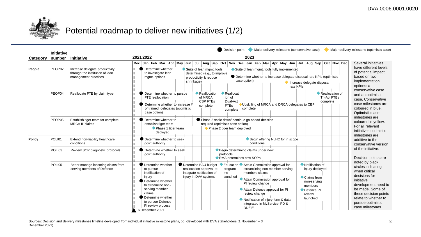

# Potential roadmap to deliver new initiatives (1/2)

|               | <b>Initiative</b> |                                                                                           | Decision point<br>Major delivery milestone (conservative case)                                                                                                                                                                                                                                                                                                                                                                                                                                                                                                                                                                                                                                                                                                                  | Major delivery milestone (optimistic case)                                                                                                                                                                                                                                                                                                |
|---------------|-------------------|-------------------------------------------------------------------------------------------|---------------------------------------------------------------------------------------------------------------------------------------------------------------------------------------------------------------------------------------------------------------------------------------------------------------------------------------------------------------------------------------------------------------------------------------------------------------------------------------------------------------------------------------------------------------------------------------------------------------------------------------------------------------------------------------------------------------------------------------------------------------------------------|-------------------------------------------------------------------------------------------------------------------------------------------------------------------------------------------------------------------------------------------------------------------------------------------------------------------------------------------|
| Category      | number            | <b>Initiative</b>                                                                         | 2021 2022<br>2023                                                                                                                                                                                                                                                                                                                                                                                                                                                                                                                                                                                                                                                                                                                                                               |                                                                                                                                                                                                                                                                                                                                           |
| People        | PEOP02            | Increase delegate productivity<br>through the institution of lean<br>management practices | Dec Jan Feb Mar Apr May Jun Jul Aug Sep Oct Nov Dec Jan Feb Mar Apr May Jun Jul Aug Sep Oct Nov Dec<br>Determine whether<br>Suite of lean mgmt. tools<br>Suite of lean mgmt. tools fully implemented<br>to investigate lean<br>determined (e.g., to improve<br>● Determine whether to increase delegate disposal rate KPIs (optimistic<br>mgmt. options<br>productivity & reduce<br>case option)<br>shrinkage)<br>Increase delegate disposal<br>rate KPIs                                                                                                                                                                                                                                                                                                                       | Several initiatives<br>have different levels<br>of potential impact<br>based on two<br>implementation<br>options: a<br>conservative case<br>and an optimistic<br>case. Conservative<br>case milestones are<br>coloured in blue.<br>Optimistic case<br>milestones are<br>coloured in yellow.<br>For all relevant<br>initiatives optimistic |
|               | PEOP04            | Reallocate FTE by claim type                                                              | Reallocation<br>Reallocation of<br>Determine whether to pursue<br>$\bullet$ Reallocat<br><b>Tri-Act FTEs</b><br>of MRCA<br>ion of<br>FTE reallocation<br><b>CBP FTES</b><br>Dual-Act<br>complete<br>Determine whether to increase #<br>Upskilling of MRCA and DRCA delegates to CBP<br><b>FTEs</b><br>complete<br>of trained delegates (optimistic<br>complete<br>complete<br>case option)                                                                                                                                                                                                                                                                                                                                                                                      |                                                                                                                                                                                                                                                                                                                                           |
|               | PEOP05            | Establish tiger team for complete<br>MRCA IL claims                                       | Determine whether to<br>● Phase 2 scale down/ continue go ahead decision<br>required (optimistic case option)<br>establish tiger team<br>Phase 1 tiger team<br>◆ Phase 2 tiger team deployed<br>deployed                                                                                                                                                                                                                                                                                                                                                                                                                                                                                                                                                                        |                                                                                                                                                                                                                                                                                                                                           |
| <b>Policy</b> | POLI01            | Extend non-liability healthcare<br>conditions                                             | Determine whether to seek<br>Begin offering NLHC for in scope<br>conditions<br>gov't authority                                                                                                                                                                                                                                                                                                                                                                                                                                                                                                                                                                                                                                                                                  | milestones are<br>additive to the<br>conservative version                                                                                                                                                                                                                                                                                 |
|               | POLI03            | Review SOP diagnostic protocols                                                           | Determine whether to seek<br>Begin determining claims under new<br>protocols<br>gov't authority<br>RMA determines new SOPs                                                                                                                                                                                                                                                                                                                                                                                                                                                                                                                                                                                                                                                      | of the initiative.<br>Decision points are<br>noted by black<br>circles indicating<br>when critical<br>decisions for<br>initiative<br>development need to<br>be made. Some of<br>these decision points<br>relate to whether to<br>pursue optimistic<br>case milestones                                                                     |
|               | POLI05            | Better manage incoming claims from<br>serving members of Defence                          | Determine BAU budget<br>Notification of<br>Determine whether<br>Education Attain Commission approval for<br>reallocation approval to<br>streamlining non member serving<br>injury deployed<br>to pursue<br>program<br>integrate notification of<br>Notification of<br>members claims<br>me<br>injury in DVA systems<br>injury<br>launched<br>Claims from<br>Attain Commission approval for<br>Determine whether<br>non-serving<br>PI review change<br>to streamline non-<br>members<br>Attain Defence approval for PI<br>serving member<br>Defence PI<br>claims<br>review change<br>review<br>Determine whether<br>launched<br>Notification of injury form & data<br>to pursue Defence<br>integrated in MyService, PD &<br>PI review process<br><b>DDEIE</b><br>6 December 2021 |                                                                                                                                                                                                                                                                                                                                           |